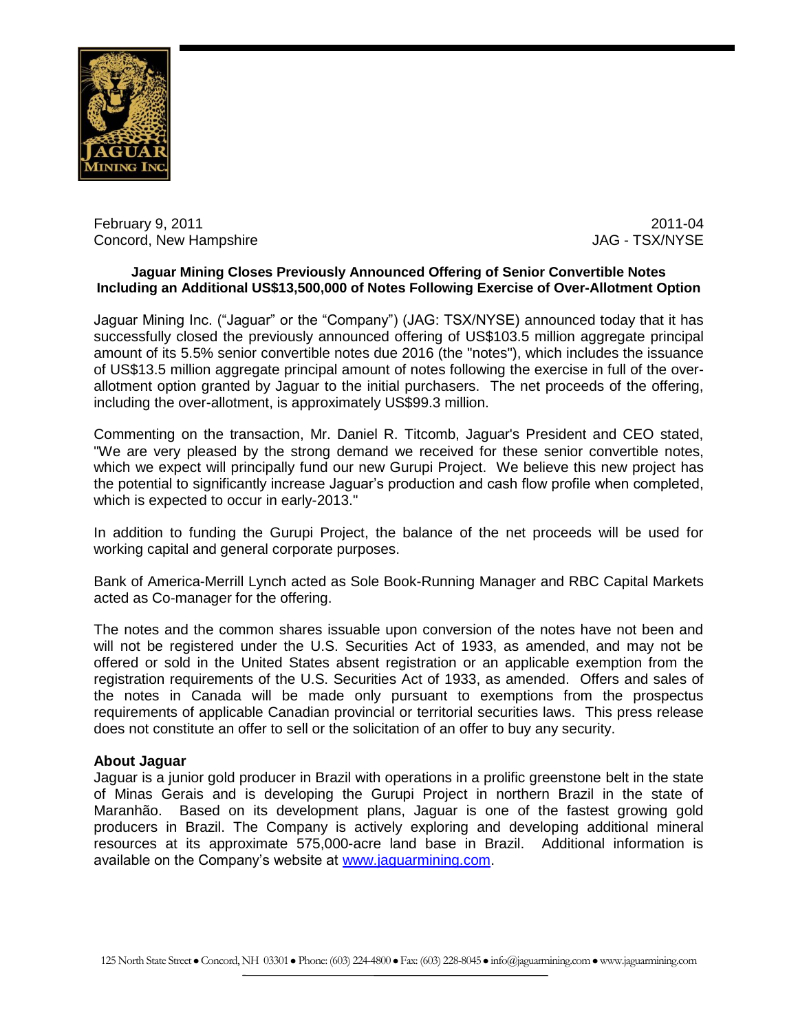

February 9, 2011 2011-04 Concord, New Hampshire  $JAG - TSX/NYSE$ 

## **Jaguar Mining Closes Previously Announced Offering of Senior Convertible Notes Including an Additional US\$13,500,000 of Notes Following Exercise of Over-Allotment Option**

Jaguar Mining Inc. ("Jaguar" or the "Company") (JAG: TSX/NYSE) announced today that it has successfully closed the previously announced offering of US\$103.5 million aggregate principal amount of its 5.5% senior convertible notes due 2016 (the "notes"), which includes the issuance of US\$13.5 million aggregate principal amount of notes following the exercise in full of the overallotment option granted by Jaguar to the initial purchasers. The net proceeds of the offering, including the over-allotment, is approximately US\$99.3 million.

Commenting on the transaction, Mr. Daniel R. Titcomb, Jaguar's President and CEO stated, "We are very pleased by the strong demand we received for these senior convertible notes, which we expect will principally fund our new Gurupi Project. We believe this new project has the potential to significantly increase Jaguar's production and cash flow profile when completed, which is expected to occur in early-2013."

In addition to funding the Gurupi Project, the balance of the net proceeds will be used for working capital and general corporate purposes.

Bank of America-Merrill Lynch acted as Sole Book-Running Manager and RBC Capital Markets acted as Co-manager for the offering.

The notes and the common shares issuable upon conversion of the notes have not been and will not be registered under the U.S. Securities Act of 1933, as amended, and may not be offered or sold in the United States absent registration or an applicable exemption from the registration requirements of the U.S. Securities Act of 1933, as amended. Offers and sales of the notes in Canada will be made only pursuant to exemptions from the prospectus requirements of applicable Canadian provincial or territorial securities laws. This press release does not constitute an offer to sell or the solicitation of an offer to buy any security.

## **About Jaguar**

Jaguar is a junior gold producer in Brazil with operations in a prolific greenstone belt in the state of Minas Gerais and is developing the Gurupi Project in northern Brazil in the state of Maranhão. Based on its development plans, Jaguar is one of the fastest growing gold producers in Brazil. The Company is actively exploring and developing additional mineral resources at its approximate 575,000-acre land base in Brazil. Additional information is available on the Company's website at [www.jaguarmining.com.](http://www.jaguarmining.com/)